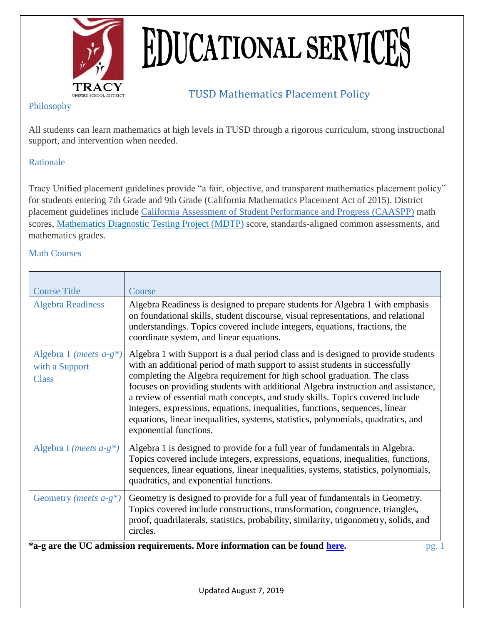

# **EDUCATIONAL SERVICES**

## **TUSD Mathematics Placement Policy**

### Philosophy

All students can learn mathematics at high levels in TUSD through a rigorous curriculum, strong instructional support, and intervention when needed.

### Rationale

Tracy Unified placement guidelines provide "a fair, objective, and transparent mathematics placement policy" for students entering 7th Grade and 9th Grade (California Mathematics Placement Act of 2015). District placement guidelines include [California Assessment of Student Performance and Progress \(CAASPP\)](http://links.schoolloop.com/link/rd?href=736c5f6c696e6b6666303163633065623266687474703a2f2f7777772e6364652e63612e676f762f74612f74672f63612f646f63756d656e74732f706172656e746775696465666c7965722e706466) math scores, Mathematics Diagnostic Testing Project [\(MDTP\)](http://links.schoolloop.com/link/rd?href=736c5f6c696e6b6666303163633065623266687474703a2f2f656470726f64756374737570706f72742e7363686f6c61737469632e636f6d2f636f6e74656e742f74656368737570706f72742f736d692f646f63756d656e746174696f6e2f534d495f54475f504152545f332e706466) score, standards-aligned common assessments, and mathematics grades.

#### Math Courses

| <b>Course Title</b>                                                                 | Course                                                                                                                                                                                                                                                                                                                                                                                                                                                                                                                                                                                                             |  |  |  |  |
|-------------------------------------------------------------------------------------|--------------------------------------------------------------------------------------------------------------------------------------------------------------------------------------------------------------------------------------------------------------------------------------------------------------------------------------------------------------------------------------------------------------------------------------------------------------------------------------------------------------------------------------------------------------------------------------------------------------------|--|--|--|--|
| <b>Algebra Readiness</b>                                                            | Algebra Readiness is designed to prepare students for Algebra 1 with emphasis<br>on foundational skills, student discourse, visual representations, and relational<br>understandings. Topics covered include integers, equations, fractions, the<br>coordinate system, and linear equations.                                                                                                                                                                                                                                                                                                                       |  |  |  |  |
| Algebra I (meets $a-g^*$ )<br>with a Support<br><b>Class</b>                        | Algebra 1 with Support is a dual period class and is designed to provide students<br>with an additional period of math support to assist students in successfully<br>completing the Algebra requirement for high school graduation. The class<br>focuses on providing students with additional Algebra instruction and assistance,<br>a review of essential math concepts, and study skills. Topics covered include<br>integers, expressions, equations, inequalities, functions, sequences, linear<br>equations, linear inequalities, systems, statistics, polynomials, quadratics, and<br>exponential functions. |  |  |  |  |
| Algebra I ( <i>meets <math>a-g^*</math></i> )                                       | Algebra 1 is designed to provide for a full year of fundamentals in Algebra.<br>Topics covered include integers, expressions, equations, inequalities, functions,<br>sequences, linear equations, linear inequalities, systems, statistics, polynomials,<br>quadratics, and exponential functions.                                                                                                                                                                                                                                                                                                                 |  |  |  |  |
| Geometry ( <i>meets</i> $a-g^*$ )                                                   | Geometry is designed to provide for a full year of fundamentals in Geometry.<br>Topics covered include constructions, transformation, congruence, triangles,<br>proof, quadrilaterals, statistics, probability, similarity, trigonometry, solids, and<br>circles.                                                                                                                                                                                                                                                                                                                                                  |  |  |  |  |
| *a-g are the UC admission requirements. More information can be found here.<br>pg.1 |                                                                                                                                                                                                                                                                                                                                                                                                                                                                                                                                                                                                                    |  |  |  |  |
|                                                                                     |                                                                                                                                                                                                                                                                                                                                                                                                                                                                                                                                                                                                                    |  |  |  |  |